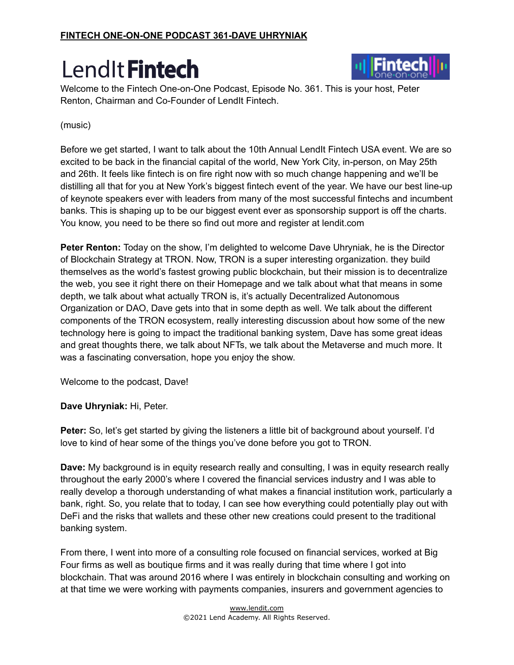

Welcome to the Fintech One-on-One Podcast, Episode No. 361. This is your host, Peter Renton, Chairman and Co-Founder of LendIt Fintech.

#### (music)

Before we get started, I want to talk about the 10th Annual LendIt Fintech USA event. We are so excited to be back in the financial capital of the world, New York City, in-person, on May 25th and 26th. It feels like fintech is on fire right now with so much change happening and we'll be distilling all that for you at New York's biggest fintech event of the year. We have our best line-up of keynote speakers ever with leaders from many of the most successful fintechs and incumbent banks. This is shaping up to be our biggest event ever as sponsorship support is off the charts. You know, you need to be there so find out more and register at lendit.com

**Peter Renton:** Today on the show, I'm delighted to welcome Dave Uhryniak, he is the Director of Blockchain Strategy at TRON. Now, TRON is a super interesting organization. they build themselves as the world's fastest growing public blockchain, but their mission is to decentralize the web, you see it right there on their Homepage and we talk about what that means in some depth, we talk about what actually TRON is, it's actually Decentralized Autonomous Organization or DAO, Dave gets into that in some depth as well. We talk about the different components of the TRON ecosystem, really interesting discussion about how some of the new technology here is going to impact the traditional banking system, Dave has some great ideas and great thoughts there, we talk about NFTs, we talk about the Metaverse and much more. It was a fascinating conversation, hope you enjoy the show.

Welcome to the podcast, Dave!

**Dave Uhryniak:** Hi, Peter.

**Peter:** So, let's get started by giving the listeners a little bit of background about yourself. I'd love to kind of hear some of the things you've done before you got to TRON.

**Dave:** My background is in equity research really and consulting, I was in equity research really throughout the early 2000's where I covered the financial services industry and I was able to really develop a thorough understanding of what makes a financial institution work, particularly a bank, right. So, you relate that to today, I can see how everything could potentially play out with DeFi and the risks that wallets and these other new creations could present to the traditional banking system.

From there, I went into more of a consulting role focused on financial services, worked at Big Four firms as well as boutique firms and it was really during that time where I got into blockchain. That was around 2016 where I was entirely in blockchain consulting and working on at that time we were working with payments companies, insurers and government agencies to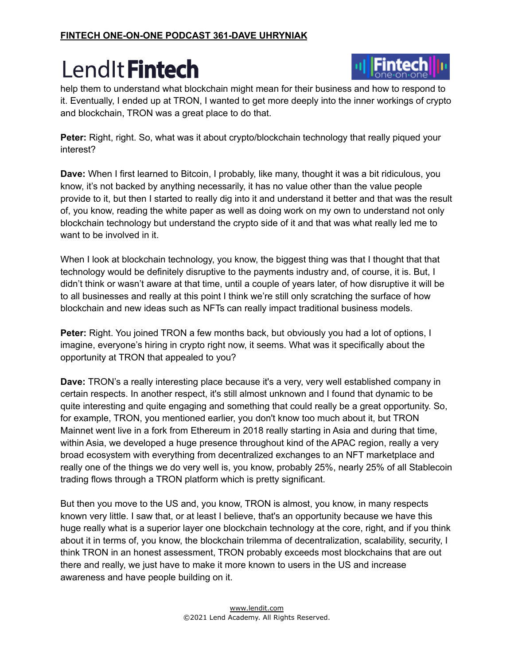

help them to understand what blockchain might mean for their business and how to respond to it. Eventually, I ended up at TRON, I wanted to get more deeply into the inner workings of crypto and blockchain, TRON was a great place to do that.

**Peter:** Right, right. So, what was it about crypto/blockchain technology that really piqued your interest?

**Dave:** When I first learned to Bitcoin, I probably, like many, thought it was a bit ridiculous, you know, it's not backed by anything necessarily, it has no value other than the value people provide to it, but then I started to really dig into it and understand it better and that was the result of, you know, reading the white paper as well as doing work on my own to understand not only blockchain technology but understand the crypto side of it and that was what really led me to want to be involved in it.

When I look at blockchain technology, you know, the biggest thing was that I thought that that technology would be definitely disruptive to the payments industry and, of course, it is. But, I didn't think or wasn't aware at that time, until a couple of years later, of how disruptive it will be to all businesses and really at this point I think we're still only scratching the surface of how blockchain and new ideas such as NFTs can really impact traditional business models.

**Peter:** Right. You joined TRON a few months back, but obviously you had a lot of options, I imagine, everyone's hiring in crypto right now, it seems. What was it specifically about the opportunity at TRON that appealed to you?

**Dave:** TRON's a really interesting place because it's a very, very well established company in certain respects. In another respect, it's still almost unknown and I found that dynamic to be quite interesting and quite engaging and something that could really be a great opportunity. So, for example, TRON, you mentioned earlier, you don't know too much about it, but TRON Mainnet went live in a fork from Ethereum in 2018 really starting in Asia and during that time, within Asia, we developed a huge presence throughout kind of the APAC region, really a very broad ecosystem with everything from decentralized exchanges to an NFT marketplace and really one of the things we do very well is, you know, probably 25%, nearly 25% of all Stablecoin trading flows through a TRON platform which is pretty significant.

But then you move to the US and, you know, TRON is almost, you know, in many respects known very little. I saw that, or at least I believe, that's an opportunity because we have this huge really what is a superior layer one blockchain technology at the core, right, and if you think about it in terms of, you know, the blockchain trilemma of decentralization, scalability, security, I think TRON in an honest assessment, TRON probably exceeds most blockchains that are out there and really, we just have to make it more known to users in the US and increase awareness and have people building on it.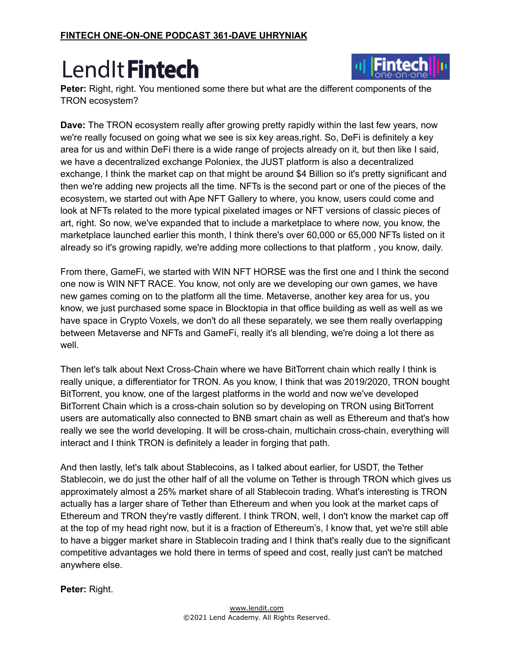

**Peter:** Right, right. You mentioned some there but what are the different components of the TRON ecosystem?

**Dave:** The TRON ecosystem really after growing pretty rapidly within the last few years, now we're really focused on going what we see is six key areas,right. So, DeFi is definitely a key area for us and within DeFi there is a wide range of projects already on it, but then like I said, we have a decentralized exchange Poloniex, the JUST platform is also a decentralized exchange, I think the market cap on that might be around \$4 Billion so it's pretty significant and then we're adding new projects all the time. NFTs is the second part or one of the pieces of the ecosystem, we started out with Ape NFT Gallery to where, you know, users could come and look at NFTs related to the more typical pixelated images or NFT versions of classic pieces of art, right. So now, we've expanded that to include a marketplace to where now, you know, the marketplace launched earlier this month, I think there's over 60,000 or 65,000 NFTs listed on it already so it's growing rapidly, we're adding more collections to that platform , you know, daily.

From there, GameFi, we started with WIN NFT HORSE was the first one and I think the second one now is WIN NFT RACE. You know, not only are we developing our own games, we have new games coming on to the platform all the time. Metaverse, another key area for us, you know, we just purchased some space in Blocktopia in that office building as well as well as we have space in Crypto Voxels, we don't do all these separately, we see them really overlapping between Metaverse and NFTs and GameFi, really it's all blending, we're doing a lot there as well.

Then let's talk about Next Cross-Chain where we have BitTorrent chain which really I think is really unique, a differentiator for TRON. As you know, I think that was 2019/2020, TRON bought BitTorrent, you know, one of the largest platforms in the world and now we've developed BitTorrent Chain which is a cross-chain solution so by developing on TRON using BitTorrent users are automatically also connected to BNB smart chain as well as Ethereum and that's how really we see the world developing. It will be cross-chain, multichain cross-chain, everything will interact and I think TRON is definitely a leader in forging that path.

And then lastly, let's talk about Stablecoins, as I talked about earlier, for USDT, the Tether Stablecoin, we do just the other half of all the volume on Tether is through TRON which gives us approximately almost a 25% market share of all Stablecoin trading. What's interesting is TRON actually has a larger share of Tether than Ethereum and when you look at the market caps of Ethereum and TRON they're vastly different. I think TRON, well, I don't know the market cap off at the top of my head right now, but it is a fraction of Ethereum's, I know that, yet we're still able to have a bigger market share in Stablecoin trading and I think that's really due to the significant competitive advantages we hold there in terms of speed and cost, really just can't be matched anywhere else.

**Peter:** Right.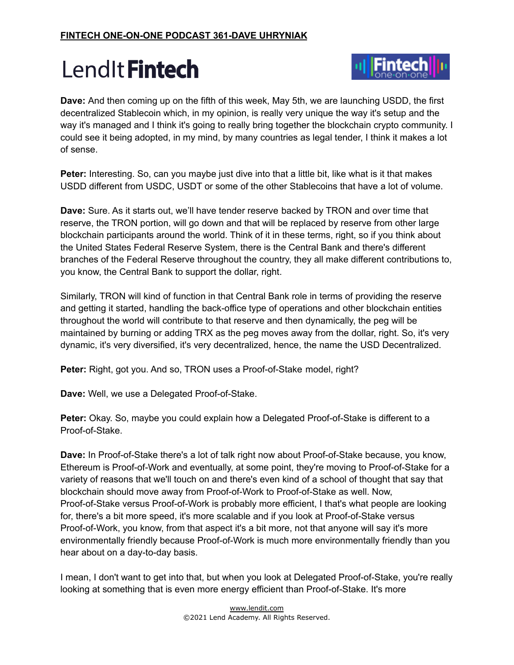

**Dave:** And then coming up on the fifth of this week, May 5th, we are launching USDD, the first decentralized Stablecoin which, in my opinion, is really very unique the way it's setup and the way it's managed and I think it's going to really bring together the blockchain crypto community. I could see it being adopted, in my mind, by many countries as legal tender, I think it makes a lot of sense.

**Peter:** Interesting. So, can you maybe just dive into that a little bit, like what is it that makes USDD different from USDC, USDT or some of the other Stablecoins that have a lot of volume.

**Dave:** Sure. As it starts out, we'll have tender reserve backed by TRON and over time that reserve, the TRON portion, will go down and that will be replaced by reserve from other large blockchain participants around the world. Think of it in these terms, right, so if you think about the United States Federal Reserve System, there is the Central Bank and there's different branches of the Federal Reserve throughout the country, they all make different contributions to, you know, the Central Bank to support the dollar, right.

Similarly, TRON will kind of function in that Central Bank role in terms of providing the reserve and getting it started, handling the back-office type of operations and other blockchain entities throughout the world will contribute to that reserve and then dynamically, the peg will be maintained by burning or adding TRX as the peg moves away from the dollar, right. So, it's very dynamic, it's very diversified, it's very decentralized, hence, the name the USD Decentralized.

**Peter:** Right, got you. And so, TRON uses a Proof-of-Stake model, right?

**Dave:** Well, we use a Delegated Proof-of-Stake.

**Peter:** Okay. So, maybe you could explain how a Delegated Proof-of-Stake is different to a Proof-of-Stake.

**Dave:** In Proof-of-Stake there's a lot of talk right now about Proof-of-Stake because, you know, Ethereum is Proof-of-Work and eventually, at some point, they're moving to Proof-of-Stake for a variety of reasons that we'll touch on and there's even kind of a school of thought that say that blockchain should move away from Proof-of-Work to Proof-of-Stake as well. Now, Proof-of-Stake versus Proof-of-Work is probably more efficient, I that's what people are looking for, there's a bit more speed, it's more scalable and if you look at Proof-of-Stake versus Proof-of-Work, you know, from that aspect it's a bit more, not that anyone will say it's more environmentally friendly because Proof-of-Work is much more environmentally friendly than you hear about on a day-to-day basis.

I mean, I don't want to get into that, but when you look at Delegated Proof-of-Stake, you're really looking at something that is even more energy efficient than Proof-of-Stake. It's more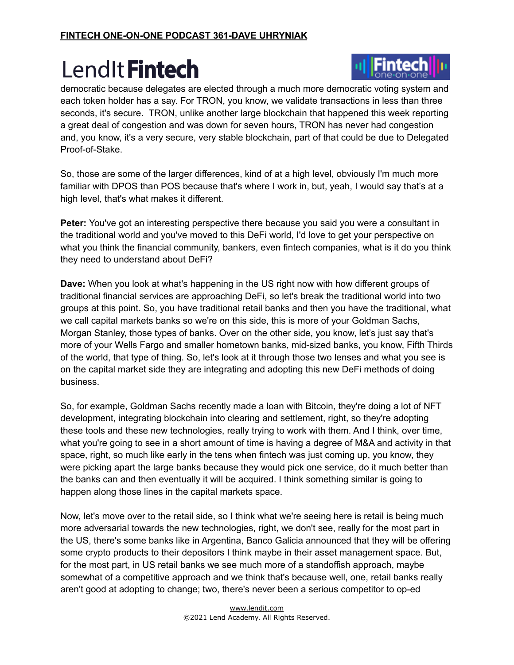

democratic because delegates are elected through a much more democratic voting system and each token holder has a say. For TRON, you know, we validate transactions in less than three seconds, it's secure. TRON, unlike another large blockchain that happened this week reporting a great deal of congestion and was down for seven hours, TRON has never had congestion and, you know, it's a very secure, very stable blockchain, part of that could be due to Delegated Proof-of-Stake.

So, those are some of the larger differences, kind of at a high level, obviously I'm much more familiar with DPOS than POS because that's where I work in, but, yeah, I would say that's at a high level, that's what makes it different.

**Peter:** You've got an interesting perspective there because you said you were a consultant in the traditional world and you've moved to this DeFi world, I'd love to get your perspective on what you think the financial community, bankers, even fintech companies, what is it do you think they need to understand about DeFi?

**Dave:** When you look at what's happening in the US right now with how different groups of traditional financial services are approaching DeFi, so let's break the traditional world into two groups at this point. So, you have traditional retail banks and then you have the traditional, what we call capital markets banks so we're on this side, this is more of your Goldman Sachs, Morgan Stanley, those types of banks. Over on the other side, you know, let's just say that's more of your Wells Fargo and smaller hometown banks, mid-sized banks, you know, Fifth Thirds of the world, that type of thing. So, let's look at it through those two lenses and what you see is on the capital market side they are integrating and adopting this new DeFi methods of doing business.

So, for example, Goldman Sachs recently made a loan with Bitcoin, they're doing a lot of NFT development, integrating blockchain into clearing and settlement, right, so they're adopting these tools and these new technologies, really trying to work with them. And I think, over time, what you're going to see in a short amount of time is having a degree of M&A and activity in that space, right, so much like early in the tens when fintech was just coming up, you know, they were picking apart the large banks because they would pick one service, do it much better than the banks can and then eventually it will be acquired. I think something similar is going to happen along those lines in the capital markets space.

Now, let's move over to the retail side, so I think what we're seeing here is retail is being much more adversarial towards the new technologies, right, we don't see, really for the most part in the US, there's some banks like in Argentina, Banco Galicia announced that they will be offering some crypto products to their depositors I think maybe in their asset management space. But, for the most part, in US retail banks we see much more of a standoffish approach, maybe somewhat of a competitive approach and we think that's because well, one, retail banks really aren't good at adopting to change; two, there's never been a serious competitor to op-ed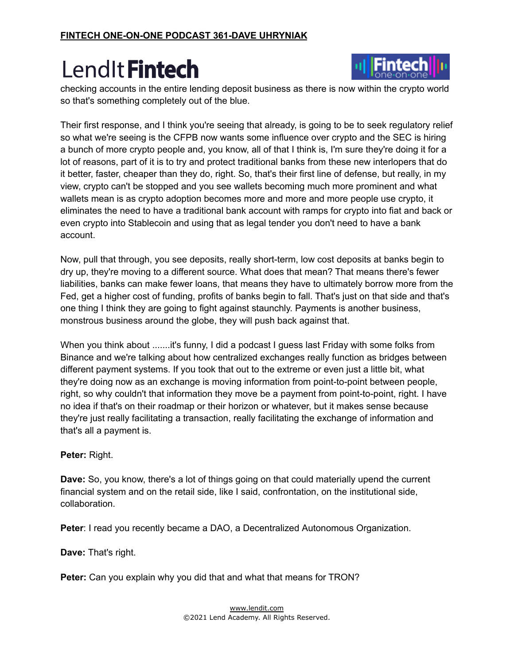

checking accounts in the entire lending deposit business as there is now within the crypto world so that's something completely out of the blue.

Their first response, and I think you're seeing that already, is going to be to seek regulatory relief so what we're seeing is the CFPB now wants some influence over crypto and the SEC is hiring a bunch of more crypto people and, you know, all of that I think is, I'm sure they're doing it for a lot of reasons, part of it is to try and protect traditional banks from these new interlopers that do it better, faster, cheaper than they do, right. So, that's their first line of defense, but really, in my view, crypto can't be stopped and you see wallets becoming much more prominent and what wallets mean is as crypto adoption becomes more and more and more people use crypto, it eliminates the need to have a traditional bank account with ramps for crypto into fiat and back or even crypto into Stablecoin and using that as legal tender you don't need to have a bank account.

Now, pull that through, you see deposits, really short-term, low cost deposits at banks begin to dry up, they're moving to a different source. What does that mean? That means there's fewer liabilities, banks can make fewer loans, that means they have to ultimately borrow more from the Fed, get a higher cost of funding, profits of banks begin to fall. That's just on that side and that's one thing I think they are going to fight against staunchly. Payments is another business, monstrous business around the globe, they will push back against that.

When you think about .......it's funny, I did a podcast I guess last Friday with some folks from Binance and we're talking about how centralized exchanges really function as bridges between different payment systems. If you took that out to the extreme or even just a little bit, what they're doing now as an exchange is moving information from point-to-point between people, right, so why couldn't that information they move be a payment from point-to-point, right. I have no idea if that's on their roadmap or their horizon or whatever, but it makes sense because they're just really facilitating a transaction, really facilitating the exchange of information and that's all a payment is.

#### **Peter:** Right.

**Dave:** So, you know, there's a lot of things going on that could materially upend the current financial system and on the retail side, like I said, confrontation, on the institutional side, collaboration.

**Peter: I read you recently became a DAO, a Decentralized Autonomous Organization.** 

**Dave:** That's right.

**Peter:** Can you explain why you did that and what that means for TRON?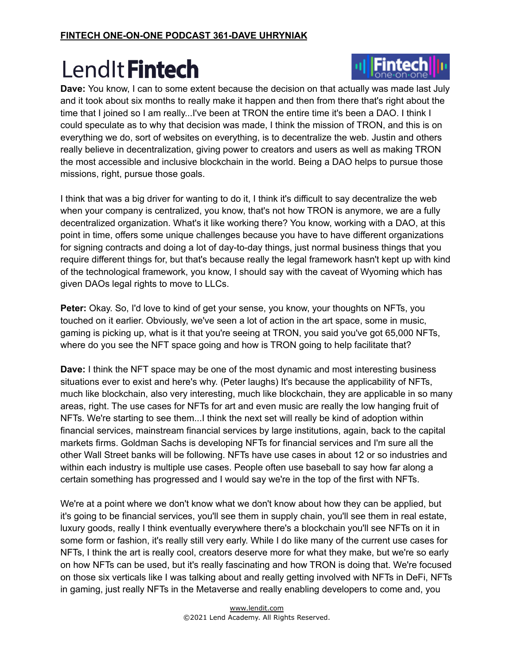

I think that was a big driver for wanting to do it, I think it's difficult to say decentralize the web when your company is centralized, you know, that's not how TRON is anymore, we are a fully decentralized organization. What's it like working there? You know, working with a DAO, at this point in time, offers some unique challenges because you have to have different organizations for signing contracts and doing a lot of day-to-day things, just normal business things that you require different things for, but that's because really the legal framework hasn't kept up with kind of the technological framework, you know, I should say with the caveat of Wyoming which has given DAOs legal rights to move to LLCs.

**Peter:** Okay. So, I'd love to kind of get your sense, you know, your thoughts on NFTs, you touched on it earlier. Obviously, we've seen a lot of action in the art space, some in music, gaming is picking up, what is it that you're seeing at TRON, you said you've got 65,000 NFTs, where do you see the NFT space going and how is TRON going to help facilitate that?

**Dave:** I think the NFT space may be one of the most dynamic and most interesting business situations ever to exist and here's why. (Peter laughs) It's because the applicability of NFTs, much like blockchain, also very interesting, much like blockchain, they are applicable in so many areas, right. The use cases for NFTs for art and even music are really the low hanging fruit of NFTs. We're starting to see them...I think the next set will really be kind of adoption within financial services, mainstream financial services by large institutions, again, back to the capital markets firms. Goldman Sachs is developing NFTs for financial services and I'm sure all the other Wall Street banks will be following. NFTs have use cases in about 12 or so industries and within each industry is multiple use cases. People often use baseball to say how far along a certain something has progressed and I would say we're in the top of the first with NFTs.

We're at a point where we don't know what we don't know about how they can be applied, but it's going to be financial services, you'll see them in supply chain, you'll see them in real estate, luxury goods, really I think eventually everywhere there's a blockchain you'll see NFTs on it in some form or fashion, it's really still very early. While I do like many of the current use cases for NFTs, I think the art is really cool, creators deserve more for what they make, but we're so early on how NFTs can be used, but it's really fascinating and how TRON is doing that. We're focused on those six verticals like I was talking about and really getting involved with NFTs in DeFi, NFTs in gaming, just really NFTs in the Metaverse and really enabling developers to come and, you

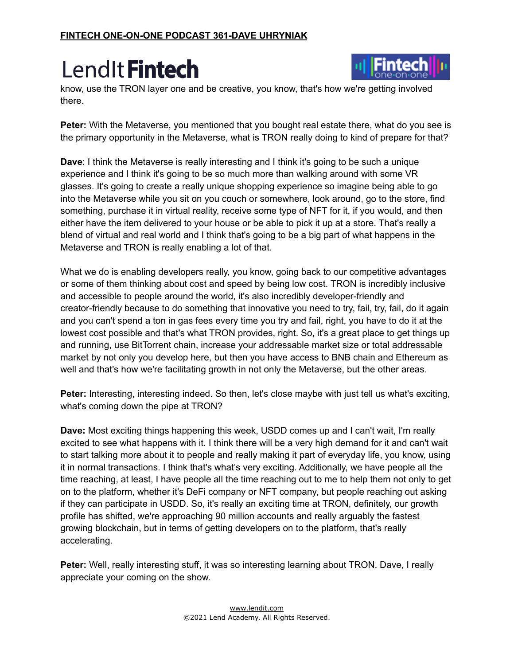

know, use the TRON layer one and be creative, you know, that's how we're getting involved there.

**Peter:** With the Metaverse, you mentioned that you bought real estate there, what do you see is the primary opportunity in the Metaverse, what is TRON really doing to kind of prepare for that?

**Dave**: I think the Metaverse is really interesting and I think it's going to be such a unique experience and I think it's going to be so much more than walking around with some VR glasses. It's going to create a really unique shopping experience so imagine being able to go into the Metaverse while you sit on you couch or somewhere, look around, go to the store, find something, purchase it in virtual reality, receive some type of NFT for it, if you would, and then either have the item delivered to your house or be able to pick it up at a store. That's really a blend of virtual and real world and I think that's going to be a big part of what happens in the Metaverse and TRON is really enabling a lot of that.

What we do is enabling developers really, you know, going back to our competitive advantages or some of them thinking about cost and speed by being low cost. TRON is incredibly inclusive and accessible to people around the world, it's also incredibly developer-friendly and creator-friendly because to do something that innovative you need to try, fail, try, fail, do it again and you can't spend a ton in gas fees every time you try and fail, right, you have to do it at the lowest cost possible and that's what TRON provides, right. So, it's a great place to get things up and running, use BitTorrent chain, increase your addressable market size or total addressable market by not only you develop here, but then you have access to BNB chain and Ethereum as well and that's how we're facilitating growth in not only the Metaverse, but the other areas.

**Peter:** Interesting, interesting indeed. So then, let's close maybe with just tell us what's exciting, what's coming down the pipe at TRON?

**Dave:** Most exciting things happening this week, USDD comes up and I can't wait, I'm really excited to see what happens with it. I think there will be a very high demand for it and can't wait to start talking more about it to people and really making it part of everyday life, you know, using it in normal transactions. I think that's what's very exciting. Additionally, we have people all the time reaching, at least, I have people all the time reaching out to me to help them not only to get on to the platform, whether it's DeFi company or NFT company, but people reaching out asking if they can participate in USDD. So, it's really an exciting time at TRON, definitely, our growth profile has shifted, we're approaching 90 million accounts and really arguably the fastest growing blockchain, but in terms of getting developers on to the platform, that's really accelerating.

**Peter:** Well, really interesting stuff, it was so interesting learning about TRON. Dave, I really appreciate your coming on the show.